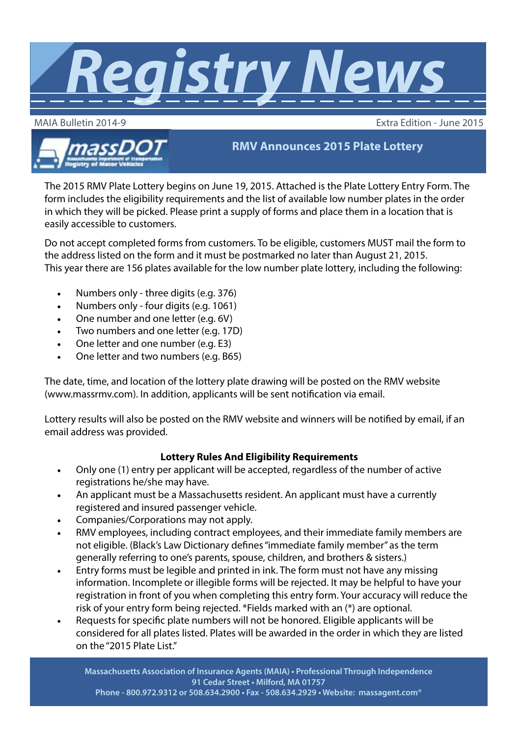

MAIA Bulletin 2014-9 Extra Edition - June 2015



**RMV Announces 2015 Plate Lottery**

The 2015 RMV Plate Lottery begins on June 19, 2015. Attached is the Plate Lottery Entry Form. The form includes the eligibility requirements and the list of available low number plates in the order in which they will be picked. Please print a supply of forms and place them in a location that is easily accessible to customers.

Do not accept completed forms from customers. To be eligible, customers MUST mail the form to the address listed on the form and it must be postmarked no later than August 21, 2015. This year there are 156 plates available for the low number plate lottery, including the following:

- Numbers only three digits (e.g. 376)
- Numbers only four digits (e.g. 1061)
- One number and one letter (e.g. 6V)
- Two numbers and one letter (e.g. 17D)
- One letter and one number (e.g. E3)
- One letter and two numbers (e.g. B65)

The date, time, and location of the lottery plate drawing will be posted on the RMV website (www.massrmv.com). In addition, applicants will be sent notification via email.

Lottery results will also be posted on the RMV website and winners will be notified by email, if an email address was provided.

## **Lottery Rules And Eligibility Requirements**

- Only one (1) entry per applicant will be accepted, regardless of the number of active registrations he/she may have.
- An applicant must be a Massachusetts resident. An applicant must have a currently registered and insured passenger vehicle.
- Companies/Corporations may not apply.
- RMV employees, including contract employees, and their immediate family members are not eligible. (Black's Law Dictionary defines "immediate family member" as the term generally referring to one's parents, spouse, children, and brothers & sisters.)
- Entry forms must be legible and printed in ink. The form must not have any missing information. Incomplete or illegible forms will be rejected. It may be helpful to have your registration in front of you when completing this entry form. Your accuracy will reduce the risk of your entry form being rejected. \*Fields marked with an (\*) are optional.
- Requests for specific plate numbers will not be honored. Eligible applicants will be considered for all plates listed. Plates will be awarded in the order in which they are listed on the "2015 Plate List."

**Massachusetts Association of Insurance Agents (MAIA) • Professional Through Independence 91 Cedar Street • Milford, MA 01757 Phone - 800.972.9312 or 508.634.2900 • Fax - 508.634.2929 • Website: [massagent.com®](http://www.massagent.com)**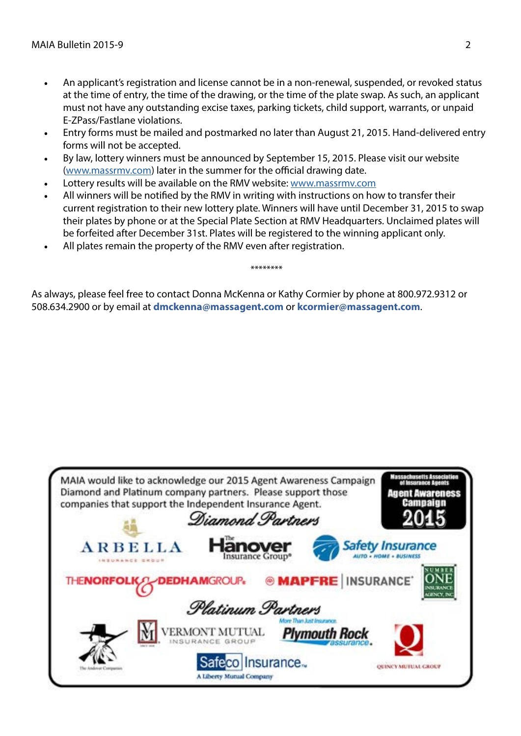- An applicant's registration and license cannot be in a non-renewal, suspended, or revoked status at the time of entry, the time of the drawing, or the time of the plate swap. As such, an applicant must not have any outstanding excise taxes, parking tickets, child support, warrants, or unpaid E-ZPass/Fastlane violations.
- Entry forms must be mailed and postmarked no later than August 21, 2015. Hand-delivered entry forms will not be accepted.
- By law, lottery winners must be announced by September 15, 2015. Please visit our website [\(www.massrmv.com](http://www.massrmv.com)) later in the summer for the official drawing date.
- Lottery results will be available on the RMV website: [www.massrmv.com](http://www.massrmv.com)
- All winners will be notified by the RMV in writing with instructions on how to transfer their current registration to their new lottery plate. Winners will have until December 31, 2015 to swap their plates by phone or at the Special Plate Section at RMV Headquarters. Unclaimed plates will be forfeited after December 31st. Plates will be registered to the winning applicant only.

\*\*\*\*\*\*\*\*

All plates remain the property of the RMV even after registration.

As always, please feel free to contact Donna McKenna or Kathy Cormier by phone at 800.972.9312 or 508.634.2900 or by email at **[dmckenna@massagent.com](mailto:dmckenna@massagent.com)** or **[kcormier@massagent.com](mailto:kcormier@massagent.com)**.

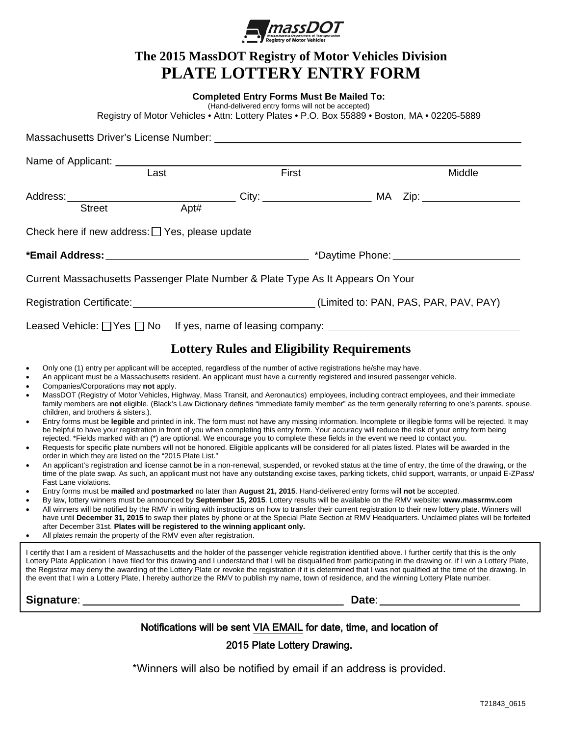

## **The 2015 MassDOT Registry of Motor Vehicles Division PLATE LOTTERY ENTRY FORM**

| Registry of Motor Vehicles • Attn: Lottery Plates • P.O. Box 55889 • Boston, MA • 02205-5889                                                                                                                                                                                                                                                                                                                                                                                                                                                                                                                                                                                                                                                                                                                                                                                                                                                                                                                                                                                                                                                                                                                                                                                                                                                                                                                                                                                                                                                                                                                                                                                                                                                                                                                                                                                                                                                                                                                                                                                                                                                                                                                                                                                                                                                                                                                                                                                                                                                                                                                                                                                                                         | <b>Completed Entry Forms Must Be Mailed To:</b><br>(Hand-delivered entry forms will not be accepted) |                                                   |        |  |  |  |  |  |
|----------------------------------------------------------------------------------------------------------------------------------------------------------------------------------------------------------------------------------------------------------------------------------------------------------------------------------------------------------------------------------------------------------------------------------------------------------------------------------------------------------------------------------------------------------------------------------------------------------------------------------------------------------------------------------------------------------------------------------------------------------------------------------------------------------------------------------------------------------------------------------------------------------------------------------------------------------------------------------------------------------------------------------------------------------------------------------------------------------------------------------------------------------------------------------------------------------------------------------------------------------------------------------------------------------------------------------------------------------------------------------------------------------------------------------------------------------------------------------------------------------------------------------------------------------------------------------------------------------------------------------------------------------------------------------------------------------------------------------------------------------------------------------------------------------------------------------------------------------------------------------------------------------------------------------------------------------------------------------------------------------------------------------------------------------------------------------------------------------------------------------------------------------------------------------------------------------------------------------------------------------------------------------------------------------------------------------------------------------------------------------------------------------------------------------------------------------------------------------------------------------------------------------------------------------------------------------------------------------------------------------------------------------------------------------------------------------------------|------------------------------------------------------------------------------------------------------|---------------------------------------------------|--------|--|--|--|--|--|
| Massachusetts Driver's License Number: Washington and Charles and Charles and Charles and Charles and Charles and Charles and Charles and Charles and Charles and Charles and Charles and Charles and Charles and Charles and                                                                                                                                                                                                                                                                                                                                                                                                                                                                                                                                                                                                                                                                                                                                                                                                                                                                                                                                                                                                                                                                                                                                                                                                                                                                                                                                                                                                                                                                                                                                                                                                                                                                                                                                                                                                                                                                                                                                                                                                                                                                                                                                                                                                                                                                                                                                                                                                                                                                                        |                                                                                                      |                                                   |        |  |  |  |  |  |
|                                                                                                                                                                                                                                                                                                                                                                                                                                                                                                                                                                                                                                                                                                                                                                                                                                                                                                                                                                                                                                                                                                                                                                                                                                                                                                                                                                                                                                                                                                                                                                                                                                                                                                                                                                                                                                                                                                                                                                                                                                                                                                                                                                                                                                                                                                                                                                                                                                                                                                                                                                                                                                                                                                                      |                                                                                                      |                                                   |        |  |  |  |  |  |
| Name of Applicant: __________<br>Last                                                                                                                                                                                                                                                                                                                                                                                                                                                                                                                                                                                                                                                                                                                                                                                                                                                                                                                                                                                                                                                                                                                                                                                                                                                                                                                                                                                                                                                                                                                                                                                                                                                                                                                                                                                                                                                                                                                                                                                                                                                                                                                                                                                                                                                                                                                                                                                                                                                                                                                                                                                                                                                                                | First                                                                                                |                                                   | Middle |  |  |  |  |  |
| Address: Street Apt# City: City: MA Zip: MA Zip:                                                                                                                                                                                                                                                                                                                                                                                                                                                                                                                                                                                                                                                                                                                                                                                                                                                                                                                                                                                                                                                                                                                                                                                                                                                                                                                                                                                                                                                                                                                                                                                                                                                                                                                                                                                                                                                                                                                                                                                                                                                                                                                                                                                                                                                                                                                                                                                                                                                                                                                                                                                                                                                                     |                                                                                                      |                                                   |        |  |  |  |  |  |
| Check here if new address: $\Box$ Yes, please update                                                                                                                                                                                                                                                                                                                                                                                                                                                                                                                                                                                                                                                                                                                                                                                                                                                                                                                                                                                                                                                                                                                                                                                                                                                                                                                                                                                                                                                                                                                                                                                                                                                                                                                                                                                                                                                                                                                                                                                                                                                                                                                                                                                                                                                                                                                                                                                                                                                                                                                                                                                                                                                                 |                                                                                                      |                                                   |        |  |  |  |  |  |
|                                                                                                                                                                                                                                                                                                                                                                                                                                                                                                                                                                                                                                                                                                                                                                                                                                                                                                                                                                                                                                                                                                                                                                                                                                                                                                                                                                                                                                                                                                                                                                                                                                                                                                                                                                                                                                                                                                                                                                                                                                                                                                                                                                                                                                                                                                                                                                                                                                                                                                                                                                                                                                                                                                                      |                                                                                                      |                                                   |        |  |  |  |  |  |
| Current Massachusetts Passenger Plate Number & Plate Type As It Appears On Your                                                                                                                                                                                                                                                                                                                                                                                                                                                                                                                                                                                                                                                                                                                                                                                                                                                                                                                                                                                                                                                                                                                                                                                                                                                                                                                                                                                                                                                                                                                                                                                                                                                                                                                                                                                                                                                                                                                                                                                                                                                                                                                                                                                                                                                                                                                                                                                                                                                                                                                                                                                                                                      |                                                                                                      |                                                   |        |  |  |  |  |  |
| Registration Certificate: 1990 [2010] (Limited to: PAN, PAS, PAR, PAV, PAY)                                                                                                                                                                                                                                                                                                                                                                                                                                                                                                                                                                                                                                                                                                                                                                                                                                                                                                                                                                                                                                                                                                                                                                                                                                                                                                                                                                                                                                                                                                                                                                                                                                                                                                                                                                                                                                                                                                                                                                                                                                                                                                                                                                                                                                                                                                                                                                                                                                                                                                                                                                                                                                          |                                                                                                      |                                                   |        |  |  |  |  |  |
| Leased Vehicle: □ Yes □ No If yes, name of leasing company: ____________________                                                                                                                                                                                                                                                                                                                                                                                                                                                                                                                                                                                                                                                                                                                                                                                                                                                                                                                                                                                                                                                                                                                                                                                                                                                                                                                                                                                                                                                                                                                                                                                                                                                                                                                                                                                                                                                                                                                                                                                                                                                                                                                                                                                                                                                                                                                                                                                                                                                                                                                                                                                                                                     |                                                                                                      |                                                   |        |  |  |  |  |  |
|                                                                                                                                                                                                                                                                                                                                                                                                                                                                                                                                                                                                                                                                                                                                                                                                                                                                                                                                                                                                                                                                                                                                                                                                                                                                                                                                                                                                                                                                                                                                                                                                                                                                                                                                                                                                                                                                                                                                                                                                                                                                                                                                                                                                                                                                                                                                                                                                                                                                                                                                                                                                                                                                                                                      |                                                                                                      | <b>Lottery Rules and Eligibility Requirements</b> |        |  |  |  |  |  |
| Only one (1) entry per applicant will be accepted, regardless of the number of active registrations he/she may have.<br>$\bullet$<br>An applicant must be a Massachusetts resident. An applicant must have a currently registered and insured passenger vehicle.<br>$\bullet$<br>Companies/Corporations may not apply.<br>$\bullet$<br>MassDOT (Registry of Motor Vehicles, Highway, Mass Transit, and Aeronautics) employees, including contract employees, and their immediate<br>$\bullet$<br>family members are not eligible. (Black's Law Dictionary defines "immediate family member" as the term generally referring to one's parents, spouse,<br>children, and brothers & sisters.).<br>Entry forms must be legible and printed in ink. The form must not have any missing information. Incomplete or illegible forms will be rejected. It may<br>$\bullet$<br>be helpful to have your registration in front of you when completing this entry form. Your accuracy will reduce the risk of your entry form being<br>rejected. *Fields marked with an (*) are optional. We encourage you to complete these fields in the event we need to contact you.<br>Requests for specific plate numbers will not be honored. Eligible applicants will be considered for all plates listed. Plates will be awarded in the<br>$\bullet$<br>order in which they are listed on the "2015 Plate List."<br>An applicant's registration and license cannot be in a non-renewal, suspended, or revoked status at the time of entry, the time of the drawing, or the<br>$\bullet$<br>time of the plate swap. As such, an applicant must not have any outstanding excise taxes, parking tickets, child support, warrants, or unpaid E-ZPass/<br>Fast Lane violations.<br>Entry forms must be mailed and postmarked no later than August 21, 2015. Hand-delivered entry forms will not be accepted.<br>$\bullet$<br>By law, lottery winners must be announced by September 15, 2015. Lottery results will be available on the RMV website: www.massrmv.com<br>$\bullet$<br>All winners will be notified by the RMV in writing with instructions on how to transfer their current registration to their new lottery plate. Winners will<br>have until December 31, 2015 to swap their plates by phone or at the Special Plate Section at RMV Headquarters. Unclaimed plates will be forfeited<br>after December 31st. Plates will be registered to the winning applicant only.<br>All plates remain the property of the RMV even after registration.<br>$\bullet$<br>I certify that I am a resident of Massachusetts and the holder of the passenger vehicle registration identified above. I further certify that this is the only |                                                                                                      |                                                   |        |  |  |  |  |  |
| Lottery Plate Application I have filed for this drawing and I understand that I will be disqualified from participating in the drawing or, if I win a Lottery Plate,<br>the Registrar may deny the awarding of the Lottery Plate or revoke the registration if it is determined that I was not qualified at the time of the drawing. In<br>the event that I win a Lottery Plate, I hereby authorize the RMV to publish my name, town of residence, and the winning Lottery Plate number.                                                                                                                                                                                                                                                                                                                                                                                                                                                                                                                                                                                                                                                                                                                                                                                                                                                                                                                                                                                                                                                                                                                                                                                                                                                                                                                                                                                                                                                                                                                                                                                                                                                                                                                                                                                                                                                                                                                                                                                                                                                                                                                                                                                                                             |                                                                                                      |                                                   |        |  |  |  |  |  |
| Signature:                                                                                                                                                                                                                                                                                                                                                                                                                                                                                                                                                                                                                                                                                                                                                                                                                                                                                                                                                                                                                                                                                                                                                                                                                                                                                                                                                                                                                                                                                                                                                                                                                                                                                                                                                                                                                                                                                                                                                                                                                                                                                                                                                                                                                                                                                                                                                                                                                                                                                                                                                                                                                                                                                                           | <u> 1989 - Johann Barn, mars and de Brasilian (b. 1989)</u>                                          |                                                   |        |  |  |  |  |  |
| Notifications will be sent VIA EMAIL for date, time, and location of                                                                                                                                                                                                                                                                                                                                                                                                                                                                                                                                                                                                                                                                                                                                                                                                                                                                                                                                                                                                                                                                                                                                                                                                                                                                                                                                                                                                                                                                                                                                                                                                                                                                                                                                                                                                                                                                                                                                                                                                                                                                                                                                                                                                                                                                                                                                                                                                                                                                                                                                                                                                                                                 |                                                                                                      |                                                   |        |  |  |  |  |  |
| 2015 Plate Lottery Drawing.                                                                                                                                                                                                                                                                                                                                                                                                                                                                                                                                                                                                                                                                                                                                                                                                                                                                                                                                                                                                                                                                                                                                                                                                                                                                                                                                                                                                                                                                                                                                                                                                                                                                                                                                                                                                                                                                                                                                                                                                                                                                                                                                                                                                                                                                                                                                                                                                                                                                                                                                                                                                                                                                                          |                                                                                                      |                                                   |        |  |  |  |  |  |

\*Winners will also be notified by email if an address is provided.